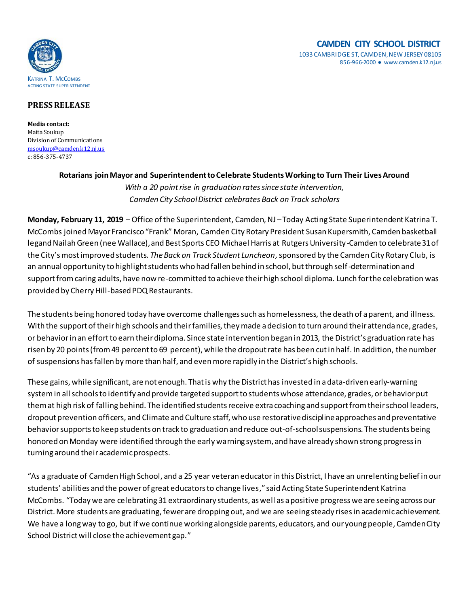#### **CAMDEN CITY SCHOOL DISTRICT** 1033 CAMBRIDGE ST, CAMDEN, NEW JERSEY 08105 856-966-2000 ● www.camden.k12.nj.us



## **PRESS RELEASE**

**Media contact:** Maita Soukup Division of Communications [msoukup@camden.k12.nj.us](mailto:msoukup@camden.k12.nj.us) c: 856-375-4737

# **Rotarians join Mayor and Superintendent to Celebrate StudentsWorking to Turn Their Lives Around** *With a 20 point rise in graduation rates since state intervention, Camden City School District celebrates Back on Track scholars*

**Monday, February 11, 2019** – Office of the Superintendent, Camden, NJ –Today Acting State Superintendent Katrina T. McCombs joined Mayor Francisco "Frank" Moran, Camden City Rotary President Susan Kupersmith, Camden basketball legand Nailah Green (nee Wallace), and Best Sports CEO Michael Harris at Rutgers University-Camden to celebrate 31of the City's most improved students. *The Back on Track Student Luncheon,* sponsored by the Camden City Rotary Club, is an annual opportunity to highlight students who had fallen behind in school, but through self-determination and support from caring adults, have now re-committed to achieve their high school diploma. Lunch for the celebration was provided by Cherry Hill-based PDQ Restaurants.

The students being honored today have overcome challenges such as homelessness, the death of a parent, and illness. With the support of their high schools and their families, they made a decision to turn around their attendance, grades, or behavior in an effort to earn their diploma. Since state intervention began in 2013, the District's graduation rate has risen by 20 points (from 49 percent to 69 percent), while the dropout rate has been cut in half. In addition, the number of suspensions has fallen by more than half, and even more rapidly in the District's high schools.

These gains, while significant, are not enough. That is why the District has invested in a data-driven early-warning system in all schools to identify and provide targeted support to students whose attendance, grades, or behavior put them at high risk of falling behind. The identified students receive extra coaching and support from their school leaders, dropout prevention officers, and Climate and Culture staff, who use restorative discipline approaches and preventative behavior supports to keep students on track to graduation and reduce out-of-school suspensions. The students being honored on Monday were identified through the early warning system, and have already shown strong progress in turning around their academic prospects.

"As a graduate of Camden High School, and a 25 year veteran educator in this District, I have an unrelenting belief in our students' abilities and the power of great educators to change lives," said Acting State Superintendent Katrina McCombs. "Today we are celebrating 31 extraordinary students, as well as a positive progress we are seeing across our District. More students are graduating, fewer are dropping out, and we are seeing steady rises in academic achievement. We have a long way to go, but if we continue working alongside parents, educators, and our young people, Camden City School District will close the achievement gap."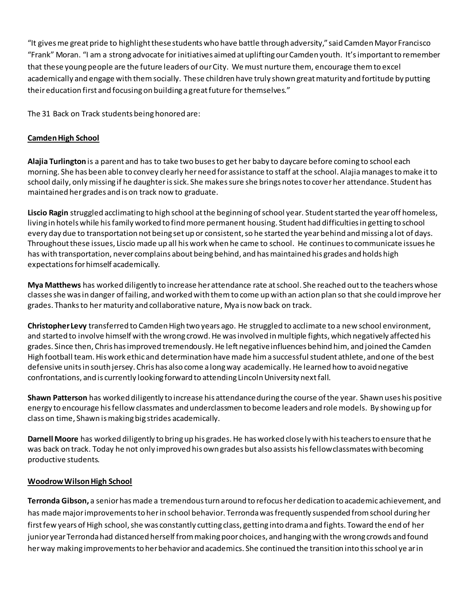"It gives me great pride to highlight these students who have battle through adversity," said Camden Mayor Francisco "Frank" Moran. "I am a strong advocate for initiatives aimed at uplifting our Camden youth. It's important to remember that these young people are the future leaders of our City. We must nurture them, encourage them to excel academically and engage with them socially. These children have truly shown great maturity and fortitude by putting their education first and focusing on building a great future for themselves."

The 31 Back on Track students being honored are:

## **Camden High School**

**Alajia Turlington** is a parent and has to take two buses to get her baby to daycare before coming to school each morning. She has been able to convey clearly herneed for assistance to staff at the school. Alajia manages to make it to school daily, only missing if he daughter is sick. She makes sure she brings notes to cover her attendance. Student has maintained her grades and is on track now to graduate.

**Liscio Ragin** struggled acclimating to high school at the beginning of school year. Student started the year off homeless, living in hotels while his family worked to find more permanent housing. Student had difficulties in getting to school every day due to transportation not being set up or consistent, so he started the year behind and missing a lot of days. Throughout these issues, Liscio made up all his work when he came to school. He continues to communicate issues he has with transportation, never complains about being behind, and has maintained his grades and holds high expectations for himself academically.

**Mya Matthews** has worked diligently to increase her attendance rate at school. She reached out to the teachers whose classes she was in danger of failing, and worked with them to come up with an action plan so that she could improve her grades. Thanks to her maturity and collaborative nature, Mya is now back on track.

**Christopher Levy** transferred to Camden High two years ago. He struggled to acclimate to a new school environment, and started to involve himself with the wrong crowd. He was involved in multiple fights, which negatively affected his grades. Since then, Chris has improved tremendously. He left negative influences behind him, and joined the Camden High football team. His work ethic and determination have made him a successful student athlete, and one of the best defensive units in south jersey. Chris has also come a long way academically. He learned how to avoid negative confrontations, and is currently looking forward to attending Lincoln University next fall.

**Shawn Patterson** has worked diligently to increase his attendance during the course of the year. Shawn uses his positive energy to encourage his fellow classmates and underclassmen to become leaders and role models. By showing up for class on time, Shawn is making big strides academically.

**Darnell Moore** has worked diligently to bring up his grades. He has worked closely with his teachers to ensure that he was back on track. Today he not only improved his own grades but also assists his fellow classmates with becoming productive students.

#### **Woodrow Wilson High School**

**Terronda Gibson,** a senior has made a tremendous turn around to refocus her dedication to academic achievement, and has made major improvements to her in school behavior. Terronda was frequently suspended from school during her first few years of High school, she was constantly cutting class, getting into drama and fights. Toward the end of her junior year Terronda had distanced herself from making poor choices, and hanging with the wrong crowds and found her way making improvements to her behavior and academics. She continued the transition into this school ye ar in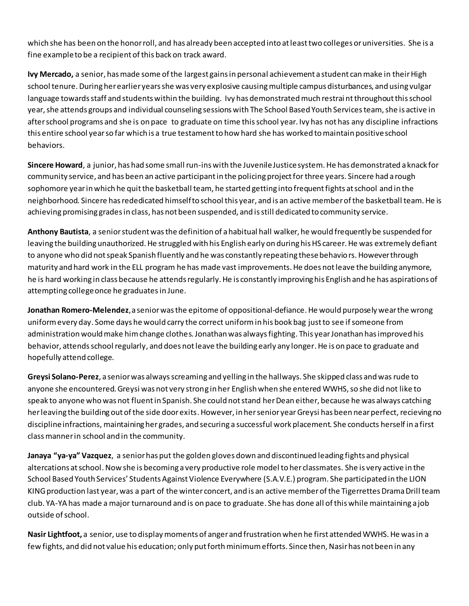which she has been on the honor roll, and has already been accepted into at least two colleges or universities. She is a fine example to be a recipient of this back on track award.

**Ivy Mercado,** a senior, has made some of the largest gains in personal achievement a student can make in their High school tenure. During her earlier years she was very explosive causing multiple campus disturbances, and using vulgar language towards staff and students within the building. Ivy has demonstrated much restrai nt throughout this school year, she attends groups and individual counseling sessions with The School Based Youth Services team, she is active in after school programs and she is on pace to graduate on time this school year. Ivy has not has any discipline infractions this entire school year so far which is a true testament to how hard she has worked to maintain positive school behaviors.

**Sincere Howard**, a junior, has had some small run-ins with the Juvenile Justice system. He has demonstrated a knack for community service, and has been an active participant in the policing project for three years. Sincere had a rough sophomore year in which he quit the basketball team, he started getting into frequent fights at school and in the neighborhood. Sincere has rededicated himself to school this year, and is an active member of the basketball team. He is achieving promising grades in class, has not been suspended, and is still dedicated to community service.

**Anthony Bautista**, a senior student was the definition of a habitual hall walker, he would frequently be suspended for leaving the building unauthorized. He struggled with his English early on during his HS career. He was extremely defiant to anyone who did not speak Spanish fluently and he was constantly repeating these behaviors. However through maturity and hard work in the ELL program he has made vast improvements. He does not leave the building anymore, he is hard working in class because he attends regularly. He is constantly improving his English and he has aspirations of attempting college once he graduates in June.

**Jonathan Romero-Melendez**, a senior was the epitome of oppositional-defiance. He would purposely wear the wrong uniform every day. Some days he would carry the correct uniform in his book bag just to see if someone from administration would make him change clothes. Jonathan was always fighting. This year Jonathan has improved his behavior, attends school regularly, and does not leave the building early any longer. He is on pace to graduate and hopefully attend college.

**Greysi Solano-Perez**, a senior was always screaming and yelling in the hallways. She skipped class and was rude to anyone she encountered. Greysi was not very strong in her English when she entered WWHS, so she did not like to speak to anyone who was not fluent in Spanish. She could not stand her Dean either, because he was always catching her leaving the building out of the side door exits. However, in her senior year Greysi has been near perfect, recieving no discipline infractions, maintaining her grades, and securing a successful work placement. She conducts herself in a first class manner in school and in the community.

**Janaya "ya-ya" Vazquez**, a senior has put the golden gloves down and discontinued leading fights and physical altercations at school. Now she is becoming a very productive role model to her classmates. She is very active in the School Based Youth Services' Students Against Violence Everywhere (S.A.V.E.) program. She participated in the LION KING production last year, was a part of the winter concert, and is an active member of the Tigerrettes Drama Drill team club. YA-YA has made a major turnaround and is on pace to graduate. She has done all of this while maintaining a job outside of school.

**Nasir Lightfoot,** a senior, use to display moments of anger and frustration when he first attended WWHS. He was in a few fights, and did not value his education; only put forth minimum efforts. Since then, Nasir has not been in any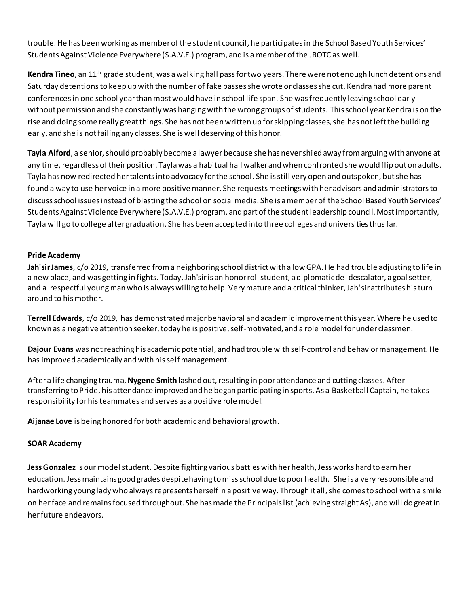trouble. He has been working as member of the student council, he participates in the School Based Youth Services' Students Against Violence Everywhere (S.A.V.E.) program, and is a member of the JROTC as well.

**Kendra Tineo**, an 11th grade student, was a walking hall pass for two years. There were not enough lunch detentions and Saturday detentions to keep up with the number of fake passes she wrote or classes she cut. Kendra had more parent conferences in one school year than most would have in school life span. She was frequently leaving school early without permission and she constantly was hanging with the wrong groups of students. This school year Kendra is on the rise and doing some really great things. She has not been written up for skipping classes, she has not left the building early, and she is not failing any classes. She is well deserving of this honor.

**Tayla Alford**, a senior, should probably become a lawyer because she has never shied away from arguing with anyone at any time, regardless of their position. Tayla was a habitual hall walker and when confronted she would flip out on adults. Tayla has now redirected her talents into advocacy for the school. She is still very open and outspoken, but she has found a way to use her voice in a more positive manner. She requestsmeetings with her advisors and administrators to discuss school issues instead of blasting the school on social media. She is a member of the School Based Youth Services' Students Against Violence Everywhere (S.A.V.E.) program, and part of the student leadership council. Most importantly, Tayla will go to college after graduation. She has been accepted into three colleges and universities thus far.

#### **Pride Academy**

**Jah'sir James**, c/o 2019, transferred from a neighboring school district with a low GPA. He had trouble adjusting to life in a new place, and was getting in fights. Today, Jah'sir is an honor roll student, a diplomatic de -descalator, a goal setter, and a respectful young man who is always willing to help. Very mature and a critical thinker, Jah'sir attributes his turn around to his mother.

**Terrell Edwards**, c/o 2019, has demonstrated major behavioral and academic improvement this year. Where he used to known as a negative attention seeker, today he is positive, self-motivated, and a role model for under classmen.

**Dajour Evans** was not reaching his academic potential, and had trouble with self-control and behavior management. He has improved academically and with his self management.

After a life changing trauma, **Nygene Smith** lashed out, resulting in poor attendance and cutting classes. After transferring to Pride, his attendance improved and he began participating in sports. As a Basketball Captain, he takes responsibility for his teammates and serves as a positive role model.

**Aijanae Love** is being honored for both academic and behavioral growth.

#### **SOAR Academy**

**Jess Gonzalez**is our model student. Despite fighting various battles with her health,Jess works hard to earn her education. Jess maintains good grades despite having to miss school due to poor health. She is a very responsible and hardworking young lady who always represents herself in a positive way. Through it all, she comes to school with a smile on her face and remains focused throughout. She has made the Principals list (achieving straight As), and will do great in her future endeavors.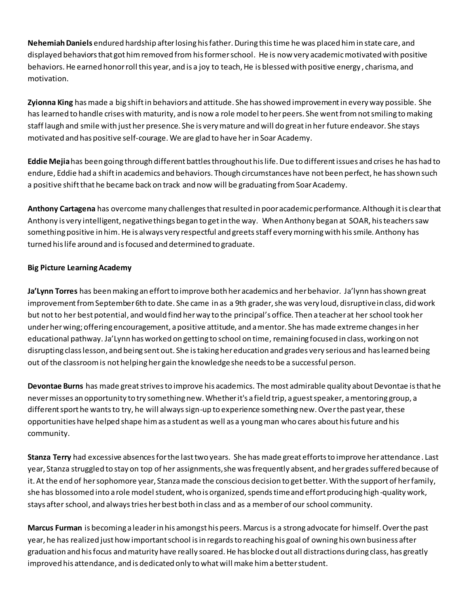**Nehemiah Daniels** endured hardship afterlosing his father. During this time he was placed him in state care, and displayed behaviors that got him removed from his former school. He is now very academic motivated with positive behaviors. He earned honor roll this year, and is a joy to teach, He is blessed with positive energy , charisma, and motivation.

**Zyionna King** has made a big shift in behaviors and attitude. She has showed improvement in every way possible. She has learned to handle crises with maturity, and is now a role model to her peers. She went from not smiling to making staff laugh and smile with just her presence. She is very mature and will do great in her future endeavor. She stays motivated and has positive self-courage. We are glad to have her in Soar Academy.

**Eddie Mejia**has been going through different battles throughout his life. Due to different issues and crises he has had to endure, Eddie had a shift in academics and behaviors. Though circumstances have not been perfect, he has shown such a positive shift that he became back on track and now will be graduating from Soar Academy.

**Anthony Cartagena** has overcome many challenges that resulted in poor academic performance. Although it is clear that Anthony is very intelligent, negative things began to get in the way. When Anthony began at SOAR, his teachers saw something positive in him. He is always very respectful and greets staff every morning with his smile. Anthony has turned his life around and isfocused and determined to graduate.

## **Big Picture Learning Academy**

**Ja'Lynn Torres** has been making an effort to improve both her academics and her behavior. Ja'lynn has shown great improvement from September 6th to date. She came in as a 9th grader, she was very loud, disruptive in class, did work but not to her best potential, and would find her way to the principal's office. Then a teacher at her school took her under her wing; offering encouragement, a positive attitude, and a mentor. She has made extreme changes in her educational pathway. Ja'Lynn has worked on getting to school on time, remaining focused in class, working on not disrupting class lesson, and being sent out. She is taking her education and grades very serious and has learned being out of the classroom is not helping her gain the knowledge she needs to be a successful person.

**Devontae Burns** has made great strives to improve his academics. The most admirable quality about Devontae is that he never misses an opportunity to try something new. Whether it's a field trip, a guest speaker, a mentoring group, a different sport he wants to try, he will always sign-up to experience something new. Over the past year, these opportunities have helped shape him as a student as well as a young man who cares about his future and his community.

**Stanza Terry** had excessive absences for the last two years. She has made great efforts to improve her attendance . Last year, Stanza struggled to stay on top of her assignments, she was frequently absent, and her grades suffered because of it. At the end of her sophomore year, Stanza made the conscious decision to get better. With the support of her family, she has blossomed into a role model student, who is organized, spends time and effort producing high-quality work, stays after school, and always tries her best both in class and as a member of our school community.

**Marcus Furman** is becoming a leader in his amongst his peers. Marcus is a strong advocate for himself. Over the past year, he has realized just how important school is in regards to reaching his goal of owning his own business after graduation and his focus and maturity have really soared. He has blocked out all distractions during class, has greatly improved his attendance, and is dedicated only to what will make him a better student.